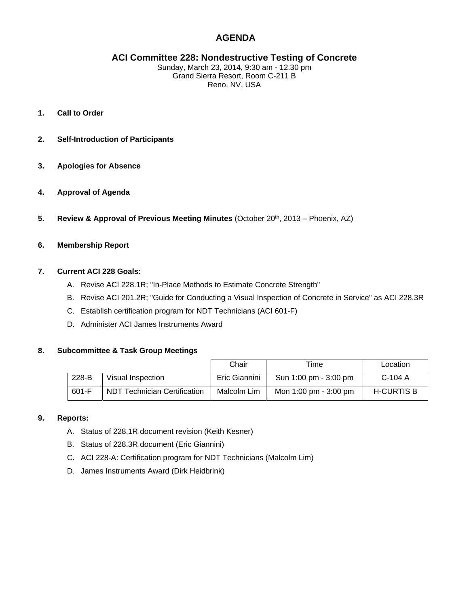# **AGENDA**

# **ACI Committee 228: Nondestructive Testing of Concrete**

Sunday, March 23, 2014, 9:30 am - 12.30 pm Grand Sierra Resort, Room C-211 B Reno, NV, USA

- **1. Call to Order**
- **2. Self-Introduction of Participants**
- **3. Apologies for Absence**
- **4. Approval of Agenda**
- **5.** Review & Approval of Previous Meeting Minutes (October 20<sup>th</sup>, 2013 Phoenix, AZ)

# **6. Membership Report**

#### **7. Current ACI 228 Goals:**

- A. Revise ACI 228.1R; "In-Place Methods to Estimate Concrete Strength"
- B. Revise ACI 201.2R; "Guide for Conducting a Visual Inspection of Concrete in Service" as ACI 228.3R
- C. Establish certification program for NDT Technicians (ACI 601-F)
- D. Administer ACI James Instruments Award

#### **8. Subcommittee & Task Group Meetings**

|       |                                     | Chair         | Time                  | Location          |
|-------|-------------------------------------|---------------|-----------------------|-------------------|
| 228-B | Visual Inspection                   | Eric Giannini | Sun 1:00 pm - 3:00 pm | $C-104$ A         |
| 601-F | <b>NDT Technician Certification</b> | Malcolm Lim   | Mon 1:00 pm - 3:00 pm | <b>H-CURTIS B</b> |

#### **9. Reports:**

- A. Status of 228.1R document revision (Keith Kesner)
- B. Status of 228.3R document (Eric Giannini)
- C. ACI 228-A: Certification program for NDT Technicians (Malcolm Lim)
- D. James Instruments Award (Dirk Heidbrink)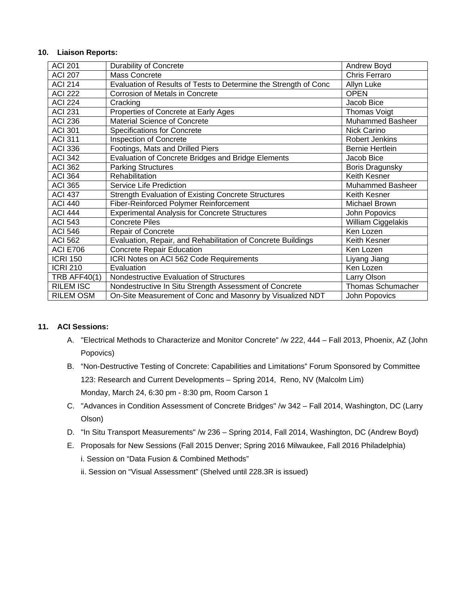#### **10. Liaison Reports:**

| <b>ACI 201</b>      | <b>Durability of Concrete</b>                                    | Andrew Boyd              |
|---------------------|------------------------------------------------------------------|--------------------------|
| <b>ACI 207</b>      | Mass Concrete                                                    | Chris Ferraro            |
| <b>ACI 214</b>      | Evaluation of Results of Tests to Determine the Strength of Conc | Allyn Luke               |
| <b>ACI 222</b>      | Corrosion of Metals in Concrete                                  | <b>OPEN</b>              |
| <b>ACI 224</b>      | Cracking                                                         | Jacob Bice               |
| <b>ACI 231</b>      | Properties of Concrete at Early Ages                             | Thomas Voigt             |
| <b>ACI 236</b>      | <b>Material Science of Concrete</b>                              | <b>Muhammed Basheer</b>  |
| <b>ACI 301</b>      | Specifications for Concrete                                      | Nick Carino              |
| <b>ACI 311</b>      | <b>Inspection of Concrete</b>                                    | <b>Robert Jenkins</b>    |
| <b>ACI 336</b>      | Footings, Mats and Drilled Piers                                 | <b>Bernie Hertlein</b>   |
| <b>ACI 342</b>      | Evaluation of Concrete Bridges and Bridge Elements               | Jacob Bice               |
| <b>ACI 362</b>      | <b>Parking Structures</b>                                        | Boris Dragunsky          |
| <b>ACI 364</b>      | Rehabilitation                                                   | Keith Kesner             |
| <b>ACI 365</b>      | Service Life Prediction                                          | <b>Muhammed Basheer</b>  |
| <b>ACI 437</b>      | <b>Strength Evaluation of Existing Concrete Structures</b>       | Keith Kesner             |
| <b>ACI 440</b>      | Fiber-Reinforced Polymer Reinforcement                           | Michael Brown            |
| <b>ACI 444</b>      | <b>Experimental Analysis for Concrete Structures</b>             | John Popovics            |
| <b>ACI 543</b>      | <b>Concrete Piles</b>                                            | William Ciggelakis       |
| <b>ACI 546</b>      | <b>Repair of Concrete</b>                                        | Ken Lozen                |
| <b>ACI 562</b>      | Evaluation, Repair, and Rehabilitation of Concrete Buildings     | Keith Kesner             |
| <b>ACI E706</b>     | <b>Concrete Repair Education</b>                                 | Ken Lozen                |
| <b>ICRI 150</b>     | ICRI Notes on ACI 562 Code Requirements                          | Liyang Jiang             |
| <b>ICRI 210</b>     | Evaluation                                                       | Ken Lozen                |
| <b>TRB AFF40(1)</b> | Nondestructive Evaluation of Structures                          | Larry Olson              |
| <b>RILEM ISC</b>    | Nondestructive In Situ Strength Assessment of Concrete           | <b>Thomas Schumacher</b> |
| <b>RILEM OSM</b>    | On-Site Measurement of Conc and Masonry by Visualized NDT        | John Popovics            |

# **11. ACI Sessions:**

- A. "Electrical Methods to Characterize and Monitor Concrete" /w 222, 444 Fall 2013, Phoenix, AZ (John Popovics)
- B. "Non-Destructive Testing of Concrete: Capabilities and Limitations" Forum Sponsored by Committee 123: Research and Current Developments – Spring 2014, Reno, NV (Malcolm Lim) Monday, March 24, 6:30 pm - 8:30 pm, Room Carson 1
- C. "Advances in Condition Assessment of Concrete Bridges" /w 342 Fall 2014, Washington, DC (Larry Olson)
- D. "In Situ Transport Measurements" /w 236 Spring 2014, Fall 2014, Washington, DC (Andrew Boyd)
- E. Proposals for New Sessions (Fall 2015 Denver; Spring 2016 Milwaukee, Fall 2016 Philadelphia)

i. Session on "Data Fusion & Combined Methods"

ii. Session on "Visual Assessment" (Shelved until 228.3R is issued)